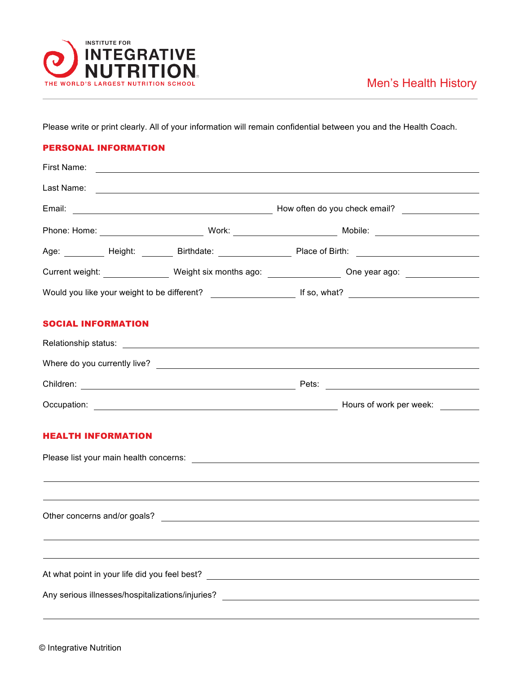

Please write or print clearly. All of your information will remain confidential between you and the Health Coach.

## PERSONAL INFORMATION

|                           |                                                  |  | Age: __________ Height: ________ Birthdate: ___________________ Place of Birth: ______________________________ |  |  |
|---------------------------|--------------------------------------------------|--|----------------------------------------------------------------------------------------------------------------|--|--|
|                           |                                                  |  | Current weight: __________________ Weight six months ago: _________________ One year ago: ________________     |  |  |
|                           |                                                  |  |                                                                                                                |  |  |
| <b>SOCIAL INFORMATION</b> |                                                  |  |                                                                                                                |  |  |
|                           |                                                  |  |                                                                                                                |  |  |
|                           |                                                  |  |                                                                                                                |  |  |
|                           |                                                  |  |                                                                                                                |  |  |
|                           |                                                  |  |                                                                                                                |  |  |
| <b>HEALTH INFORMATION</b> |                                                  |  |                                                                                                                |  |  |
|                           |                                                  |  |                                                                                                                |  |  |
|                           |                                                  |  |                                                                                                                |  |  |
|                           |                                                  |  |                                                                                                                |  |  |
|                           |                                                  |  |                                                                                                                |  |  |
|                           |                                                  |  |                                                                                                                |  |  |
|                           | At what point in your life did you feel best?    |  |                                                                                                                |  |  |
|                           | Any serious illnesses/hospitalizations/injuries? |  | <u> 1989 - Johann Barn, amerikansk politiker (d. 1989)</u>                                                     |  |  |
|                           |                                                  |  |                                                                                                                |  |  |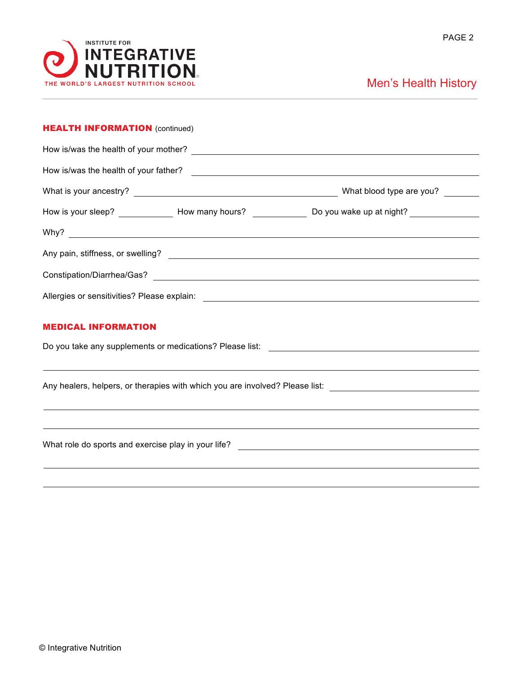

## Men's Health History

| <b>HEALTH INFORMATION (continued)</b>                                                                          |  |  |  |  |  |  |  |  |
|----------------------------------------------------------------------------------------------------------------|--|--|--|--|--|--|--|--|
|                                                                                                                |  |  |  |  |  |  |  |  |
|                                                                                                                |  |  |  |  |  |  |  |  |
|                                                                                                                |  |  |  |  |  |  |  |  |
| How is your sleep? _______________ How many hours? ________________ Do you wake up at night? ________________  |  |  |  |  |  |  |  |  |
|                                                                                                                |  |  |  |  |  |  |  |  |
|                                                                                                                |  |  |  |  |  |  |  |  |
|                                                                                                                |  |  |  |  |  |  |  |  |
|                                                                                                                |  |  |  |  |  |  |  |  |
| <b>MEDICAL INFORMATION</b>                                                                                     |  |  |  |  |  |  |  |  |
|                                                                                                                |  |  |  |  |  |  |  |  |
|                                                                                                                |  |  |  |  |  |  |  |  |
| Any healers, helpers, or therapies with which you are involved? Please list: _________________________________ |  |  |  |  |  |  |  |  |
| ,我们也不会有什么?""我们的人,我们也不会有什么?""我们的人,我们也不会有什么?""我们的人,我们也不会有什么?""我们的人,我们也不会有什么?""我们的人                               |  |  |  |  |  |  |  |  |
|                                                                                                                |  |  |  |  |  |  |  |  |
|                                                                                                                |  |  |  |  |  |  |  |  |
|                                                                                                                |  |  |  |  |  |  |  |  |